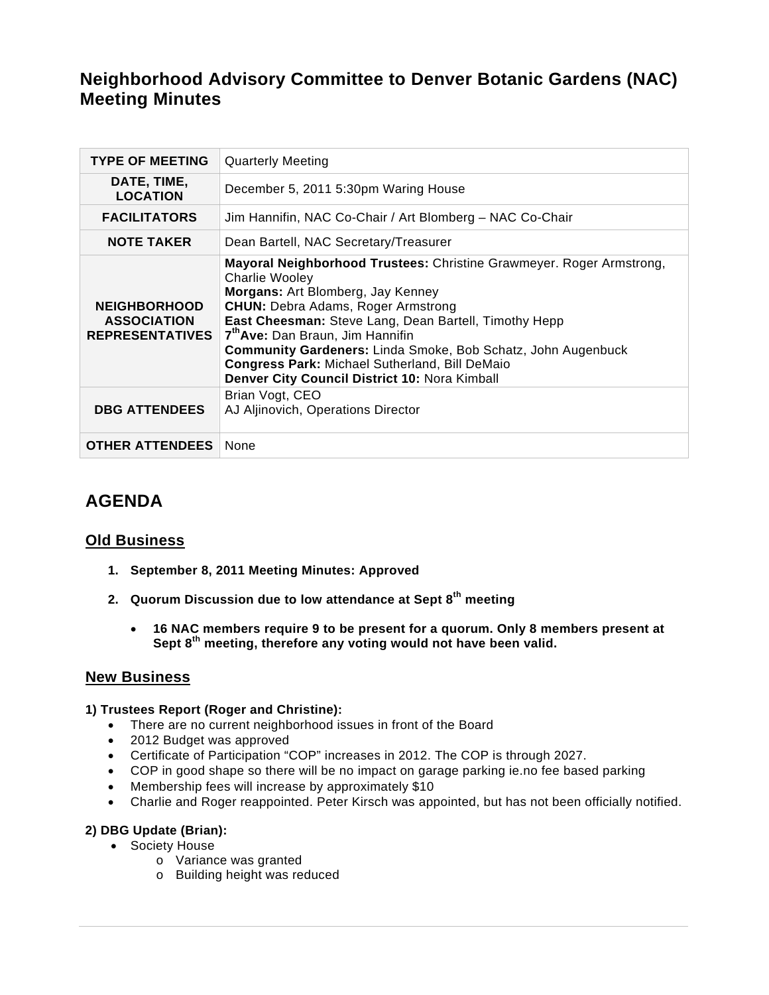# **Neighborhood Advisory Committee to Denver Botanic Gardens (NAC) Meeting Minutes**

| <b>TYPE OF MEETING</b>                                              | <b>Quarterly Meeting</b>                                                                                                                                                                                                                                                                                                                                                                                                                                           |
|---------------------------------------------------------------------|--------------------------------------------------------------------------------------------------------------------------------------------------------------------------------------------------------------------------------------------------------------------------------------------------------------------------------------------------------------------------------------------------------------------------------------------------------------------|
| DATE, TIME,<br><b>LOCATION</b>                                      | December 5, 2011 5:30pm Waring House                                                                                                                                                                                                                                                                                                                                                                                                                               |
| <b>FACILITATORS</b>                                                 | Jim Hannifin, NAC Co-Chair / Art Blomberg - NAC Co-Chair                                                                                                                                                                                                                                                                                                                                                                                                           |
| <b>NOTE TAKER</b>                                                   | Dean Bartell, NAC Secretary/Treasurer                                                                                                                                                                                                                                                                                                                                                                                                                              |
| <b>NEIGHBORHOOD</b><br><b>ASSOCIATION</b><br><b>REPRESENTATIVES</b> | Mayoral Neighborhood Trustees: Christine Grawmeyer. Roger Armstrong,<br><b>Charlie Wooley</b><br>Morgans: Art Blomberg, Jay Kenney<br><b>CHUN:</b> Debra Adams, Roger Armstrong<br>East Cheesman: Steve Lang, Dean Bartell, Timothy Hepp<br>7 <sup>th</sup> Ave: Dan Braun, Jim Hannifin<br><b>Community Gardeners: Linda Smoke, Bob Schatz, John Augenbuck</b><br>Congress Park: Michael Sutherland, Bill DeMaio<br>Denver City Council District 10: Nora Kimball |
| <b>DBG ATTENDEES</b>                                                | Brian Vogt, CEO<br>AJ Aljinovich, Operations Director                                                                                                                                                                                                                                                                                                                                                                                                              |
| <b>OTHER ATTENDEES</b>                                              | None                                                                                                                                                                                                                                                                                                                                                                                                                                                               |

## **AGENDA**

## **Old Business**

- **1. September 8, 2011 Meeting Minutes: Approved**
- **2. Quorum Discussion due to low attendance at Sept 8th meeting** 
	- **16 NAC members require 9 to be present for a quorum. Only 8 members present at Sept 8th meeting, therefore any voting would not have been valid.**

## **New Business**

## **1) Trustees Report (Roger and Christine):**

- There are no current neighborhood issues in front of the Board
- 2012 Budget was approved
- Certificate of Participation "COP" increases in 2012. The COP is through 2027.
- COP in good shape so there will be no impact on garage parking ie.no fee based parking
- Membership fees will increase by approximately \$10
- Charlie and Roger reappointed. Peter Kirsch was appointed, but has not been officially notified.

## **2) DBG Update (Brian):**

- Society House
	- o Variance was granted
	- o Building height was reduced